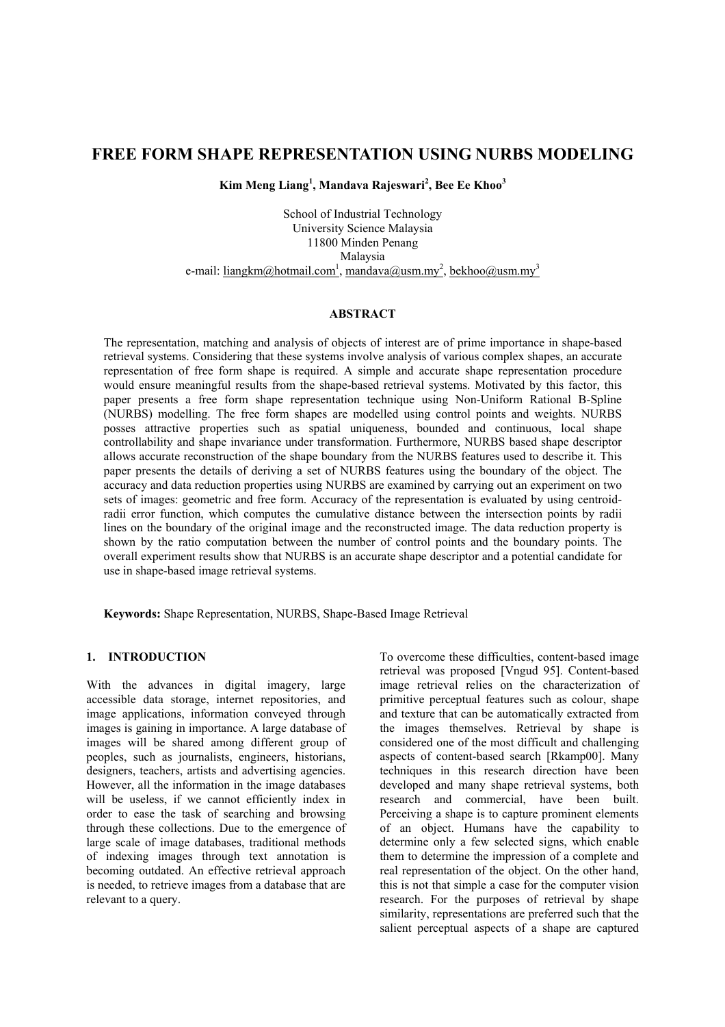# **FREE FORM SHAPE REPRESENTATION USING NURBS MODELING**

**Kim Meng Liang<sup>1</sup> , Mandava Rajeswari2 , Bee Ee Khoo3**

School of Industrial Technology University Science Malaysia 11800 Minden Penang Malaysia e-mail: <u>liangkm@hotmail.com<sup>1</sup>, mandava@usm.my<sup>2</sup>, bekhoo@usm.my<sup>3</sup></u>

### **ABSTRACT**

The representation, matching and analysis of objects of interest are of prime importance in shape-based retrieval systems. Considering that these systems involve analysis of various complex shapes, an accurate representation of free form shape is required. A simple and accurate shape representation procedure would ensure meaningful results from the shape-based retrieval systems. Motivated by this factor, this paper presents a free form shape representation technique using Non-Uniform Rational B-Spline (NURBS) modelling. The free form shapes are modelled using control points and weights. NURBS posses attractive properties such as spatial uniqueness, bounded and continuous, local shape controllability and shape invariance under transformation. Furthermore, NURBS based shape descriptor allows accurate reconstruction of the shape boundary from the NURBS features used to describe it. This paper presents the details of deriving a set of NURBS features using the boundary of the object. The accuracy and data reduction properties using NURBS are examined by carrying out an experiment on two sets of images: geometric and free form. Accuracy of the representation is evaluated by using centroidradii error function, which computes the cumulative distance between the intersection points by radii lines on the boundary of the original image and the reconstructed image. The data reduction property is shown by the ratio computation between the number of control points and the boundary points. The overall experiment results show that NURBS is an accurate shape descriptor and a potential candidate for use in shape-based image retrieval systems.

**Keywords:** Shape Representation, NURBS, Shape-Based Image Retrieval

#### **1. INTRODUCTION**

With the advances in digital imagery, large accessible data storage, internet repositories, and image applications, information conveyed through images is gaining in importance. A large database of images will be shared among different group of peoples, such as journalists, engineers, historians, designers, teachers, artists and advertising agencies. However, all the information in the image databases will be useless, if we cannot efficiently index in order to ease the task of searching and browsing through these collections. Due to the emergence of large scale of image databases, traditional methods of indexing images through text annotation is becoming outdated. An effective retrieval approach is needed, to retrieve images from a database that are relevant to a query.

To overcome these difficulties, content-based image retrieval was proposed [Vngud 95]. Content-based image retrieval relies on the characterization of primitive perceptual features such as colour, shape and texture that can be automatically extracted from the images themselves. Retrieval by shape is considered one of the most difficult and challenging aspects of content-based search [Rkamp00]. Many techniques in this research direction have been developed and many shape retrieval systems, both research and commercial, have been built. Perceiving a shape is to capture prominent elements of an object. Humans have the capability to determine only a few selected signs, which enable them to determine the impression of a complete and real representation of the object. On the other hand, this is not that simple a case for the computer vision research. For the purposes of retrieval by shape similarity, representations are preferred such that the salient perceptual aspects of a shape are captured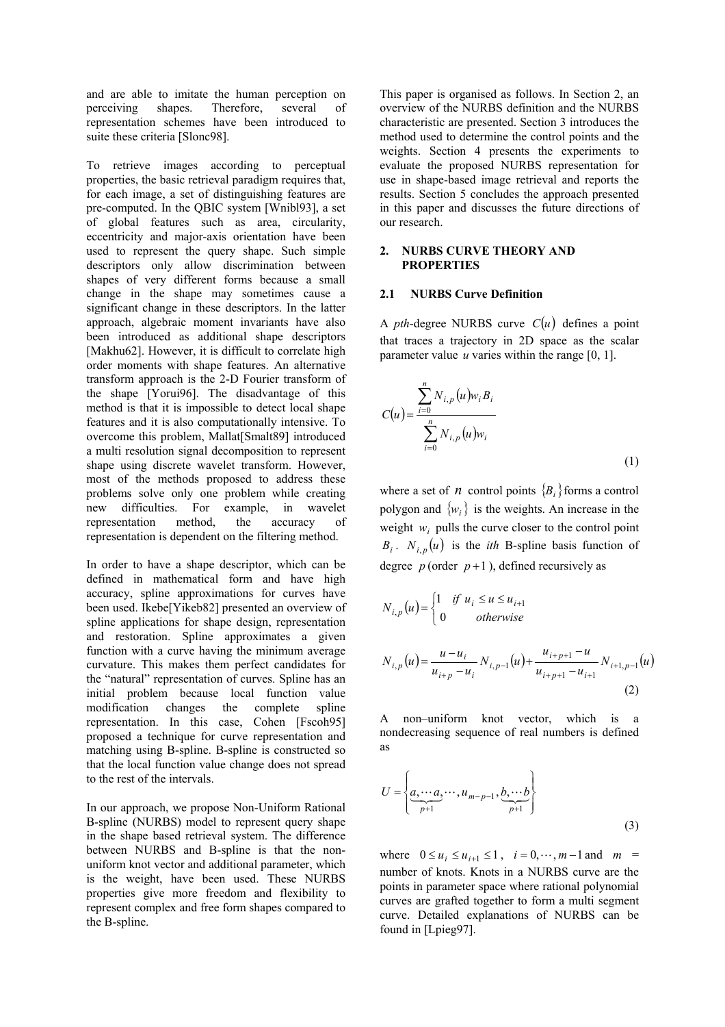and are able to imitate the human perception on perceiving shapes. Therefore, several of representation schemes have been introduced to suite these criteria [Slonc98].

To retrieve images according to perceptual properties, the basic retrieval paradigm requires that, for each image, a set of distinguishing features are pre-computed. In the QBIC system [Wnibl93], a set of global features such as area, circularity, eccentricity and major-axis orientation have been used to represent the query shape. Such simple descriptors only allow discrimination between shapes of very different forms because a small change in the shape may sometimes cause a significant change in these descriptors. In the latter approach, algebraic moment invariants have also been introduced as additional shape descriptors [Makhu62]. However, it is difficult to correlate high order moments with shape features. An alternative transform approach is the 2-D Fourier transform of the shape [Yorui96]. The disadvantage of this method is that it is impossible to detect local shape features and it is also computationally intensive. To overcome this problem, Mallat[Smalt89] introduced a multi resolution signal decomposition to represent shape using discrete wavelet transform. However, most of the methods proposed to address these problems solve only one problem while creating new difficulties. For example, in wavelet<br>representation method, the accuracy of representation method, the accuracy of representation is dependent on the filtering method.

In order to have a shape descriptor, which can be defined in mathematical form and have high accuracy, spline approximations for curves have been used. Ikebe[Yikeb82] presented an overview of spline applications for shape design, representation and restoration. Spline approximates a given function with a curve having the minimum average curvature. This makes them perfect candidates for the "natural" representation of curves. Spline has an initial problem because local function value modification changes the complete spline representation. In this case, Cohen [Fscoh95] proposed a technique for curve representation and matching using B-spline. B-spline is constructed so that the local function value change does not spread to the rest of the intervals.

In our approach, we propose Non-Uniform Rational B-spline (NURBS) model to represent query shape in the shape based retrieval system. The difference between NURBS and B-spline is that the nonuniform knot vector and additional parameter, which is the weight, have been used. These NURBS properties give more freedom and flexibility to represent complex and free form shapes compared to the B-spline.

This paper is organised as follows. In Section 2, an overview of the NURBS definition and the NURBS characteristic are presented. Section 3 introduces the method used to determine the control points and the weights. Section 4 presents the experiments to evaluate the proposed NURBS representation for use in shape-based image retrieval and reports the results. Section 5 concludes the approach presented in this paper and discusses the future directions of our research.

# **2. NURBS CURVE THEORY AND PROPERTIES**

#### **2.1 NURBS Curve Definition**

A *pth*-degree NURBS curve  $C(u)$  defines a point that traces a trajectory in 2D space as the scalar parameter value *u* varies within the range [0, 1].

$$
C(u) = \frac{\sum_{i=0}^{n} N_{i,p}(u) w_i B_i}{\sum_{i=0}^{n} N_{i,p}(u) w_i}
$$
\n(1)

where a set of *n* control points  ${B<sub>i</sub>}$  forms a control polygon and  $\{w_i\}$  is the weights. An increase in the weight  $w_i$  pulls the curve closer to the control point  $B_i$ .  $N_{i,p}(u)$  is the *ith* B-spline basis function of degree  $p$  (order  $p+1$ ), defined recursively as

$$
N_{i,p}(u) = \begin{cases} 1 & \text{if } u_i \le u \le u_{i+1} \\ 0 & \text{otherwise} \end{cases}
$$
  

$$
N_{i,p}(u) = \frac{u - u_i}{u_{i+p} - u_i} N_{i,p-1}(u) + \frac{u_{i+p+1} - u}{u_{i+p+1} - u_{i+1}} N_{i+1,p-1}(u)
$$
  
(2)

A non–uniform knot vector, which is a nondecreasing sequence of real numbers is defined as

$$
U = \left\{ \underbrace{a, \cdots a}_{p+1}, \cdots, u_{m-p-1}, \underbrace{b, \cdots b}_{p+1} \right\}
$$
\n
$$
(3)
$$

where  $0 \le u_i \le u_{i+1} \le 1$ ,  $i = 0, \dots, m-1$  and  $m =$ number of knots. Knots in a NURBS curve are the points in parameter space where rational polynomial curves are grafted together to form a multi segment curve. Detailed explanations of NURBS can be found in [Lpieg97].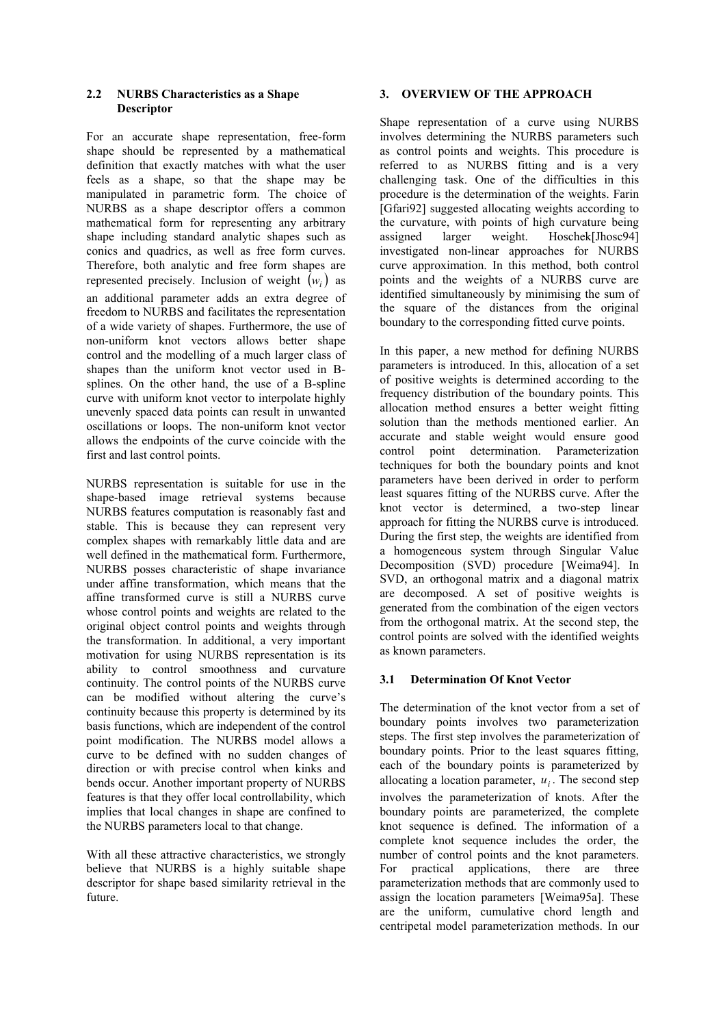### **2.2 NURBS Characteristics as a Shape Descriptor**

For an accurate shape representation, free-form shape should be represented by a mathematical definition that exactly matches with what the user feels as a shape, so that the shape may be manipulated in parametric form. The choice of NURBS as a shape descriptor offers a common mathematical form for representing any arbitrary shape including standard analytic shapes such as conics and quadrics, as well as free form curves. Therefore, both analytic and free form shapes are represented precisely. Inclusion of weight  $(w_i)$  as an additional parameter adds an extra degree of freedom to NURBS and facilitates the representation of a wide variety of shapes. Furthermore, the use of non-uniform knot vectors allows better shape control and the modelling of a much larger class of shapes than the uniform knot vector used in Bsplines. On the other hand, the use of a B-spline curve with uniform knot vector to interpolate highly unevenly spaced data points can result in unwanted oscillations or loops. The non-uniform knot vector allows the endpoints of the curve coincide with the first and last control points.

NURBS representation is suitable for use in the shape-based image retrieval systems because NURBS features computation is reasonably fast and stable. This is because they can represent very complex shapes with remarkably little data and are well defined in the mathematical form. Furthermore, NURBS posses characteristic of shape invariance under affine transformation, which means that the affine transformed curve is still a NURBS curve whose control points and weights are related to the original object control points and weights through the transformation. In additional, a very important motivation for using NURBS representation is its ability to control smoothness and curvature continuity. The control points of the NURBS curve can be modified without altering the curve's continuity because this property is determined by its basis functions, which are independent of the control point modification. The NURBS model allows a curve to be defined with no sudden changes of direction or with precise control when kinks and bends occur. Another important property of NURBS features is that they offer local controllability, which implies that local changes in shape are confined to the NURBS parameters local to that change.

With all these attractive characteristics, we strongly believe that NURBS is a highly suitable shape descriptor for shape based similarity retrieval in the future.

## **3. OVERVIEW OF THE APPROACH**

Shape representation of a curve using NURBS involves determining the NURBS parameters such as control points and weights. This procedure is referred to as NURBS fitting and is a very challenging task. One of the difficulties in this procedure is the determination of the weights. Farin [Gfari92] suggested allocating weights according to the curvature, with points of high curvature being assigned larger weight. Hoschek[Jhosc94] investigated non-linear approaches for NURBS curve approximation. In this method, both control points and the weights of a NURBS curve are identified simultaneously by minimising the sum of the square of the distances from the original boundary to the corresponding fitted curve points.

In this paper, a new method for defining NURBS parameters is introduced. In this, allocation of a set of positive weights is determined according to the frequency distribution of the boundary points. This allocation method ensures a better weight fitting solution than the methods mentioned earlier. An accurate and stable weight would ensure good control point determination. Parameterization techniques for both the boundary points and knot parameters have been derived in order to perform least squares fitting of the NURBS curve. After the knot vector is determined, a two-step linear approach for fitting the NURBS curve is introduced. During the first step, the weights are identified from a homogeneous system through Singular Value Decomposition (SVD) procedure [Weima94]. In SVD, an orthogonal matrix and a diagonal matrix are decomposed. A set of positive weights is generated from the combination of the eigen vectors from the orthogonal matrix. At the second step, the control points are solved with the identified weights as known parameters.

# **3.1 Determination Of Knot Vector**

The determination of the knot vector from a set of boundary points involves two parameterization steps. The first step involves the parameterization of boundary points. Prior to the least squares fitting, each of the boundary points is parameterized by allocating a location parameter,  $u_i$ . The second step involves the parameterization of knots. After the boundary points are parameterized, the complete knot sequence is defined. The information of a complete knot sequence includes the order, the number of control points and the knot parameters. For practical applications, there are three parameterization methods that are commonly used to assign the location parameters [Weima95a]. These are the uniform, cumulative chord length and centripetal model parameterization methods. In our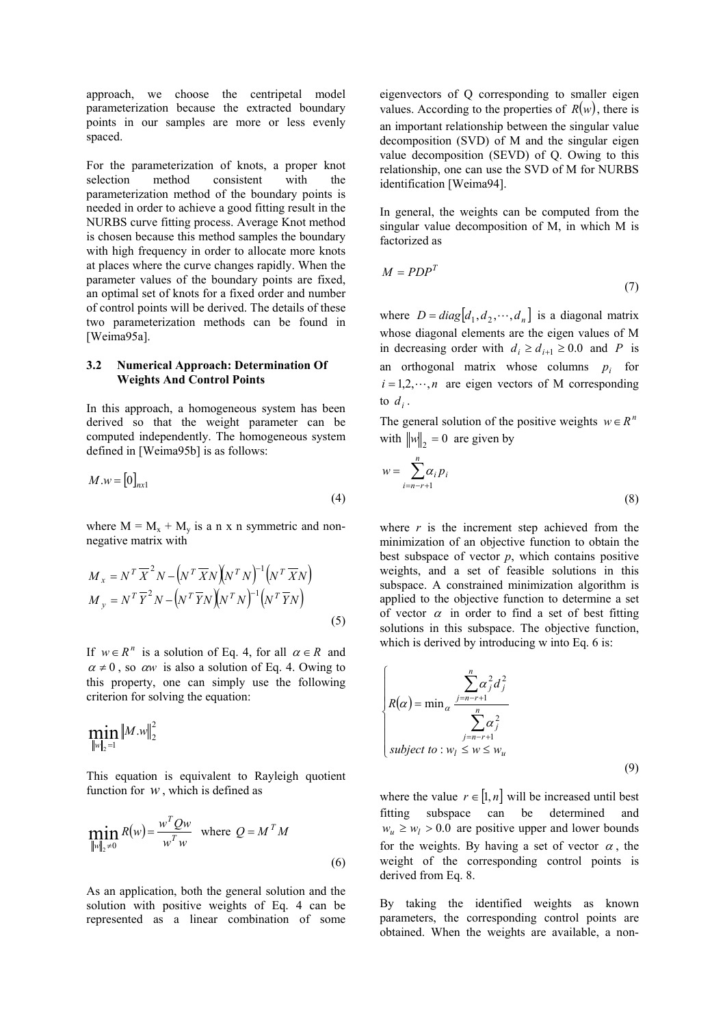approach, we choose the centripetal model parameterization because the extracted boundary points in our samples are more or less evenly spaced.

For the parameterization of knots, a proper knot selection method consistent with the parameterization method of the boundary points is needed in order to achieve a good fitting result in the NURBS curve fitting process. Average Knot method is chosen because this method samples the boundary with high frequency in order to allocate more knots at places where the curve changes rapidly. When the parameter values of the boundary points are fixed, an optimal set of knots for a fixed order and number of control points will be derived. The details of these two parameterization methods can be found in [Weima95a].

#### **3.2 Numerical Approach: Determination Of Weights And Control Points**

In this approach, a homogeneous system has been derived so that the weight parameter can be computed independently. The homogeneous system defined in [Weima95b] is as follows:

$$
M.w = [0]_{nx1} \tag{4}
$$

where  $M = M_x + M_y$  is a n x n symmetric and nonnegative matrix with

$$
M_x = N^T \overline{X}^2 N - (N^T \overline{X} N)(N^T N)^{-1} (N^T \overline{X} N)
$$
  

$$
M_y = N^T \overline{Y}^2 N - (N^T \overline{Y} N)(N^T N)^{-1} (N^T \overline{Y} N)
$$
  
(5)

If  $w \in R^n$  is a solution of Eq. 4, for all  $\alpha \in R$  and  $\alpha \neq 0$ , so  $\alpha w$  is also a solution of Eq. 4. Owing to this property, one can simply use the following criterion for solving the equation:

$$
\min_{\|w\|_2=1}\|M.w\|_2^2
$$

This equation is equivalent to Rayleigh quotient function for  $w$ , which is defined as

$$
\min_{\|w\|_2 \neq 0} R(w) = \frac{w^T Q w}{w^T w} \quad \text{where } Q = M^T M
$$
\n(6)

As an application, both the general solution and the solution with positive weights of Eq. 4 can be represented as a linear combination of some eigenvectors of Q corresponding to smaller eigen values. According to the properties of  $R(w)$ , there is an important relationship between the singular value decomposition (SVD) of M and the singular eigen value decomposition (SEVD) of Q. Owing to this relationship, one can use the SVD of M for NURBS identification [Weima94].

In general, the weights can be computed from the singular value decomposition of M, in which M is factorized as

$$
M = PDP^T \tag{7}
$$

where  $D = diag[d_1, d_2, \dots, d_n]$  is a diagonal matrix whose diagonal elements are the eigen values of M in decreasing order with  $d_i \ge d_{i+1} \ge 0.0$  and *P* is an orthogonal matrix whose columns  $p_i$  for  $i = 1, 2, \dots, n$  are eigen vectors of M corresponding to  $d_i$ .

The general solution of the positive weights  $w \in R^n$ with  $\|w\|_2 = 0$  are given by

$$
w = \sum_{i=n-r+1}^{n} \alpha_i p_i \tag{8}
$$

where  $r$  is the increment step achieved from the minimization of an objective function to obtain the best subspace of vector  $p$ , which contains positive weights, and a set of feasible solutions in this subspace. A constrained minimization algorithm is applied to the objective function to determine a set of vector  $\alpha$  in order to find a set of best fitting solutions in this subspace. The objective function, which is derived by introducing w into Eq. 6 is:

$$
\begin{cases}\n\sum_{j=n-r+1}^{n} \alpha_j^2 d_j^2 \\
R(\alpha) = \min_{\alpha} \frac{\sum_{j=n-r+1}^{n} \alpha_j^2}{\sum_{j=n-r+1}^{n} \alpha_j^2} \\
\text{subject to: } w_l \leq w \leq w_u\n\end{cases}
$$
\n(9)

where the value  $r \in [1, n]$  will be increased until best fitting subspace can be determined and  $w_u \geq w_l > 0.0$  are positive upper and lower bounds for the weights. By having a set of vector  $\alpha$ , the weight of the corresponding control points is derived from Eq. 8.

By taking the identified weights as known parameters, the corresponding control points are obtained. When the weights are available, a non-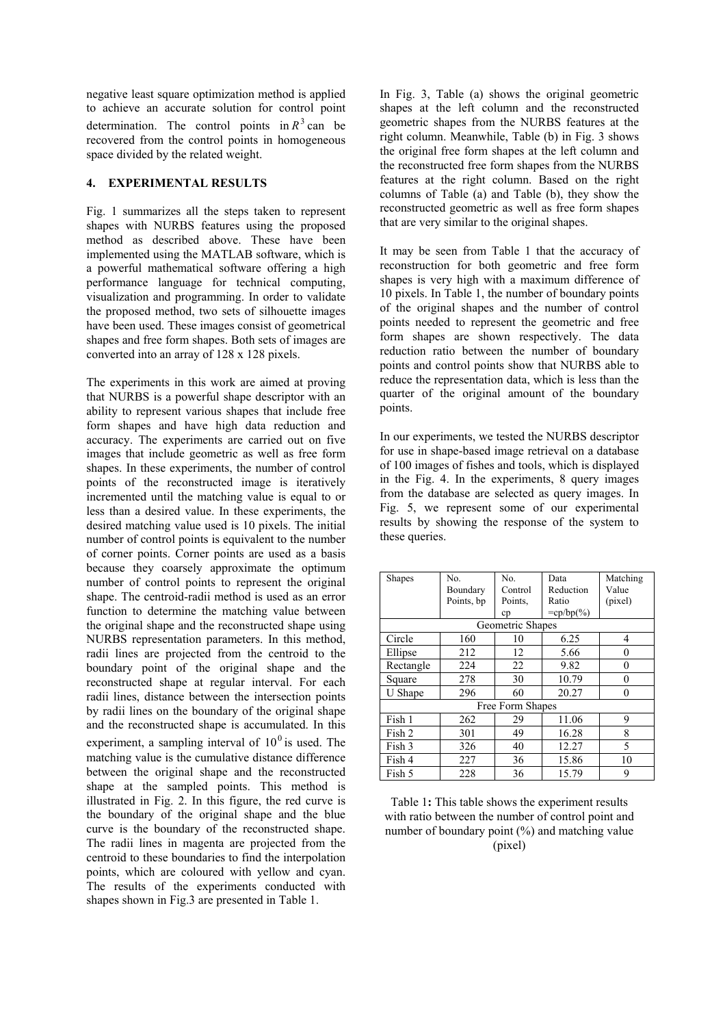negative least square optimization method is applied to achieve an accurate solution for control point determination. The control points in  $R<sup>3</sup>$  can be recovered from the control points in homogeneous space divided by the related weight.

## **4. EXPERIMENTAL RESULTS**

Fig. 1 summarizes all the steps taken to represent shapes with NURBS features using the proposed method as described above. These have been implemented using the MATLAB software, which is a powerful mathematical software offering a high performance language for technical computing, visualization and programming. In order to validate the proposed method, two sets of silhouette images have been used. These images consist of geometrical shapes and free form shapes. Both sets of images are converted into an array of 128 x 128 pixels.

The experiments in this work are aimed at proving that NURBS is a powerful shape descriptor with an ability to represent various shapes that include free form shapes and have high data reduction and accuracy. The experiments are carried out on five images that include geometric as well as free form shapes. In these experiments, the number of control points of the reconstructed image is iteratively incremented until the matching value is equal to or less than a desired value. In these experiments, the desired matching value used is 10 pixels. The initial number of control points is equivalent to the number of corner points. Corner points are used as a basis because they coarsely approximate the optimum number of control points to represent the original shape. The centroid-radii method is used as an error function to determine the matching value between the original shape and the reconstructed shape using NURBS representation parameters. In this method, radii lines are projected from the centroid to the boundary point of the original shape and the reconstructed shape at regular interval. For each radii lines, distance between the intersection points by radii lines on the boundary of the original shape and the reconstructed shape is accumulated. In this experiment, a sampling interval of  $10<sup>0</sup>$  is used. The matching value is the cumulative distance difference between the original shape and the reconstructed shape at the sampled points. This method is illustrated in Fig. 2. In this figure, the red curve is the boundary of the original shape and the blue curve is the boundary of the reconstructed shape. The radii lines in magenta are projected from the centroid to these boundaries to find the interpolation points, which are coloured with yellow and cyan. The results of the experiments conducted with shapes shown in Fig.3 are presented in Table 1.

In Fig. 3, Table (a) shows the original geometric shapes at the left column and the reconstructed geometric shapes from the NURBS features at the right column. Meanwhile, Table (b) in Fig. 3 shows the original free form shapes at the left column and the reconstructed free form shapes from the NURBS features at the right column. Based on the right columns of Table (a) and Table (b), they show the reconstructed geometric as well as free form shapes that are very similar to the original shapes.

It may be seen from Table 1 that the accuracy of reconstruction for both geometric and free form shapes is very high with a maximum difference of 10 pixels. In Table 1, the number of boundary points of the original shapes and the number of control points needed to represent the geometric and free form shapes are shown respectively. The data reduction ratio between the number of boundary points and control points show that NURBS able to reduce the representation data, which is less than the quarter of the original amount of the boundary points.

In our experiments, we tested the NURBS descriptor for use in shape-based image retrieval on a database of 100 images of fishes and tools, which is displayed in the Fig. 4. In the experiments, 8 query images from the database are selected as query images. In Fig. 5, we represent some of our experimental results by showing the response of the system to these queries.

| <b>Shapes</b>    | No.        | No.     | Data         | Matching |  |  |
|------------------|------------|---------|--------------|----------|--|--|
|                  | Boundary   | Control | Reduction    | Value    |  |  |
|                  | Points, bp | Points. | Ratio        | (pixel)  |  |  |
|                  |            | cp      | $=$ cp/bp(%) |          |  |  |
| Geometric Shapes |            |         |              |          |  |  |
| Circle           | 160        | 10      | 6.25         | 4        |  |  |
| Ellipse          | 212        | 12      | 5.66         | 0        |  |  |
| Rectangle        | 224        | 22      | 9.82         | 0        |  |  |
| Square           | 278        | 30      | 10.79        | 0        |  |  |
| U Shape          | 296        | 60      | 20.27        | 0        |  |  |
| Free Form Shapes |            |         |              |          |  |  |
| Fish 1           | 262        | 29      | 11.06        | 9        |  |  |
| Fish 2           | 301        | 49      | 16.28        | 8        |  |  |
| Fish 3           | 326        | 40      | 12.27        | 5        |  |  |
| Fish 4           | 227        | 36      | 15.86        | 10       |  |  |
| Fish 5           | 228        | 36      | 15.79        | 9        |  |  |

Table 1**:** This table shows the experiment results with ratio between the number of control point and number of boundary point  $(\%)$  and matching value (pixel)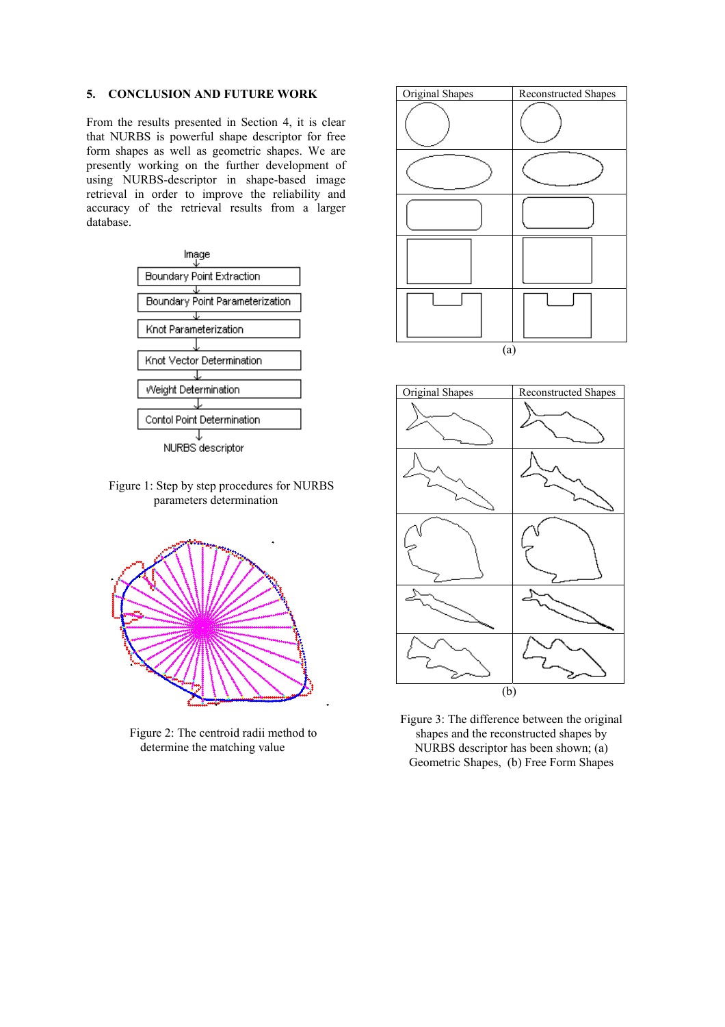### **5. CONCLUSION AND FUTURE WORK**

From the results presented in Section 4, it is clear that NURBS is powerful shape descriptor for free form shapes as well as geometric shapes. We are presently working on the further development of using NURBS-descriptor in shape-based image retrieval in order to improve the reliability and accuracy of the retrieval results from a larger database.



Figure 1: Step by step procedures for NURBS parameters determination



Figure 2: The centroid radii method to determine the matching value





Figure 3: The difference between the original shapes and the reconstructed shapes by NURBS descriptor has been shown; (a) Geometric Shapes, (b) Free Form Shapes